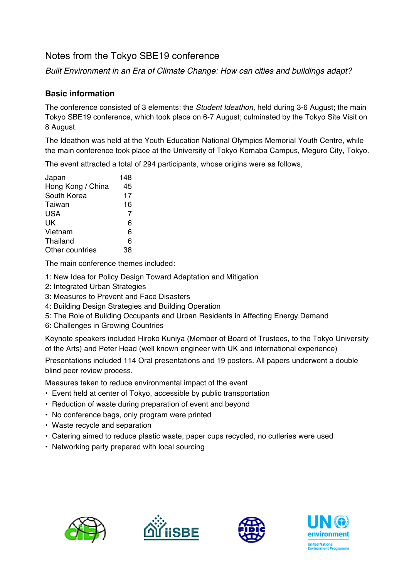# Notes from the Tokyo SBE19 conference

*Built Environment in an Era of Climate Change: How can cities and buildings adapt?*

### **Basic information**

The conference consisted of 3 elements: the *Student Ideathon*, held during 3-6 August; the main Tokyo SBE19 conference, which took place on 6-7 August; culminated by the Tokyo Site Visit on 8 August.

The Ideathon was held at the Youth Education National Olympics Memorial Youth Centre, while the main conference took place at the University of Tokyo Komaba Campus, Meguro City, Tokyo.

The event attracted a total of 294 participants, whose origins were as follows,

| Japan             | 148 |
|-------------------|-----|
| Hong Kong / China | 45  |
| South Korea       | 17  |
| Taiwan            | 16  |
| <b>USA</b>        | 7   |
| UK                | 6   |
| Vietnam           | 6   |
| <b>Thailand</b>   | 6   |
| Other countries   | 38  |
|                   |     |

The main conference themes included:

- 1: New Idea for Policy Design Toward Adaptation and Mitigation
- 2: Integrated Urban Strategies
- 3: Measures to Prevent and Face Disasters
- 4: Building Design Strategies and Building Operation
- 5: The Role of Building Occupants and Urban Residents in Affecting Energy Demand
- 6: Challenges in Growing Countries

Keynote speakers included Hiroko Kuniya (Member of Board of Trustees, to the Tokyo University of the Arts) and Peter Head (well known engineer with UK and international experience)

Presentations included 114 Oral presentations and 19 posters. All papers underwent a double blind peer review process.

Measures taken to reduce environmental impact of the event

- Event held at center of Tokyo, accessible by public transportation
- Reduction of waste during preparation of event and beyond
- No conference bags, only program were printed
- Waste recycle and separation
- Catering aimed to reduce plastic waste, paper cups recycled, no cutleries were used
- Networking party prepared with local sourcing







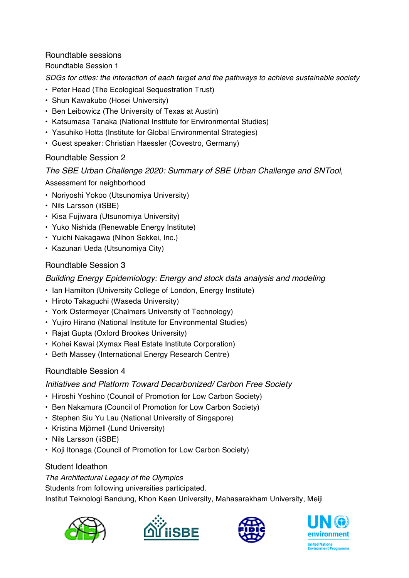#### Roundtable sessions

Roundtable Session 1

*SDGs for cities: the interaction of each target and the pathways to achieve sustainable society*

- Peter Head (The Ecological Sequestration Trust)
- Shun Kawakubo (Hosei University)
- Ben Leibowicz (The University of Texas at Austin)
- Katsumasa Tanaka (National Institute for Environmental Studies)
- Yasuhiko Hotta (Institute for Global Environmental Strategies)
- Guest speaker: Christian Haessler (Covestro, Germany)

## Roundtable Session 2

## *The SBE Urban Challenge 2020: Summary of SBE Urban Challenge and SNTool,*

Assessment for neighborhood

- Noriyoshi Yokoo (Utsunomiya University)
- Nils Larsson (iiSBE)
- Kisa Fujiwara (Utsunomiya University)
- Yuko Nishida (Renewable Energy Institute)
- Yuichi Nakagawa (Nihon Sekkei, Inc.)
- Kazunari Ueda (Utsunomiya City)

## Roundtable Session 3

*Building Energy Epidemiology: Energy and stock data analysis and modeling*

- Ian Hamilton (University College of London, Energy Institute)
- Hiroto Takaguchi (Waseda University)
- York Ostermeyer (Chalmers University of Technology)
- Yujiro Hirano (National Institute for Environmental Studies)
- Rajat Gupta (Oxford Brookes University)
- Kohei Kawai (Xymax Real Estate Institute Corporation)
- Beth Massey (International Energy Research Centre)

## Roundtable Session 4

## *Initiatives and Platform Toward Decarbonized/ Carbon Free Society*

- Hiroshi Yoshino (Council of Promotion for Low Carbon Society)
- Ben Nakamura (Council of Promotion for Low Carbon Society)
- Stephen Siu Yu Lau (National University of Singapore)
- Kristina Mjörnell (Lund University)
- Nils Larsson (iiSBE)
- Koji Itonaga (Council of Promotion for Low Carbon Society)

# Student Ideathon

*The Architectural Legacy of the Olympics*

Students from following universities participated.

Institut Teknologi Bandung, Khon Kaen University, Mahasarakham University, Meiji







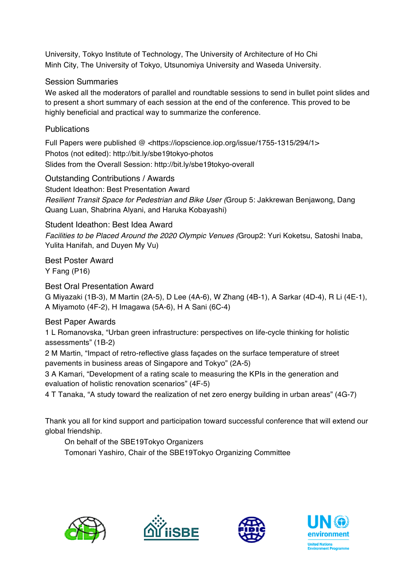University, Tokyo Institute of Technology, The University of Architecture of Ho Chi Minh City, The University of Tokyo, Utsunomiya University and Waseda University.

### Session Summaries

We asked all the moderators of parallel and roundtable sessions to send in bullet point slides and to present a short summary of each session at the end of the conference. This proved to be highly beneficial and practical way to summarize the conference.

### Publications

Full Papers were published @ <https://iopscience.iop.org/issue/1755-1315/294/1> Photos (not edited): http://bit.ly/sbe19tokyo-photos Slides from the Overall Session: http://bit.ly/sbe19tokyo-overall

Outstanding Contributions / Awards Student Ideathon: Best Presentation Award *Resilient Transit Space for Pedestrian and Bike User (*Group 5: Jakkrewan Benjawong, Dang Quang Luan, Shabrina Alyani, and Haruka Kobayashi)

#### Student Ideathon: Best Idea Award

*Facilities to be Placed Around the 2020 Olympic Venues (*Group2: Yuri Koketsu, Satoshi Inaba, Yulita Hanifah, and Duyen My Vu)

Best Poster Award Y Fang (P16)

Best Oral Presentation Award

G Miyazaki (1B-3), M Martin (2A-5), D Lee (4A-6), W Zhang (4B-1), A Sarkar (4D-4), R Li (4E-1), A Miyamoto (4F-2), H Imagawa (5A-6), H A Sani (6C-4)

#### Best Paper Awards

1 L Romanovska, "Urban green infrastructure: perspectives on life-cycle thinking for holistic assessments" (1B-2)

2 M Martin, "Impact of retro-reflective glass façades on the surface temperature of street pavements in business areas of Singapore and Tokyo" (2A-5)

3 A Kamari, "Development of a rating scale to measuring the KPIs in the generation and evaluation of holistic renovation scenarios" (4F-5)

4 T Tanaka, "A study toward the realization of net zero energy building in urban areas" (4G-7)

Thank you all for kind support and participation toward successful conference that will extend our global friendship.

On behalf of the SBE19Tokyo Organizers

Tomonari Yashiro, Chair of the SBE19Tokyo Organizing Committee